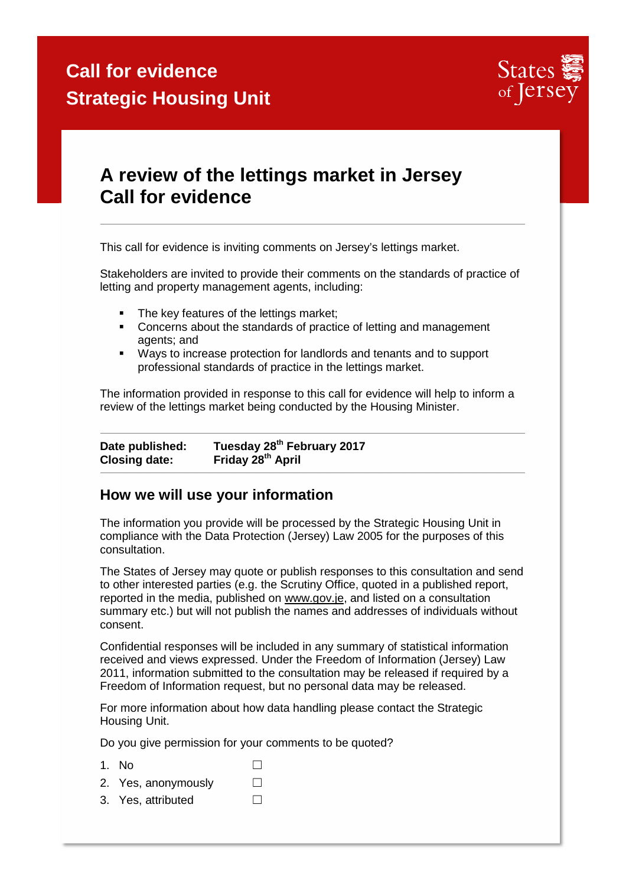

### **A review of the lettings market in Jersey Call for evidence**

This call for evidence is inviting comments on Jersey's lettings market.

Stakeholders are invited to provide their comments on the standards of practice of letting and property management agents, including:

- The key features of the lettings market;
- **Concerns about the standards of practice of letting and management** agents; and
- Ways to increase protection for landlords and tenants and to support professional standards of practice in the lettings market.

The information provided in response to this call for evidence will help to inform a review of the lettings market being conducted by the Housing Minister.

**Date published: Tuesday 28th February 2017 Closing date: Friday 28th April** 

#### **How we will use your information**

The information you provide will be processed by the Strategic Housing Unit in compliance with the Data Protection (Jersey) Law 2005 for the purposes of this consultation.

The States of Jersey may quote or publish responses to this consultation and send to other interested parties (e.g. the Scrutiny Office, quoted in a published report, reported in the media, published on www.gov.je, and listed on a consultation summary etc.) but will not publish the names and addresses of individuals without consent.

Confidential responses will be included in any summary of statistical information received and views expressed. Under the Freedom of Information (Jersey) Law 2011, information submitted to the consultation may be released if required by a Freedom of Information request, but no personal data may be released.

For more information about how data handling please contact the Strategic Housing Unit.

Do you give permission for your comments to be quoted?

- 1. No  $\Box$
- 2. Yes, anonymously  $□$
- 3. Yes, attributed □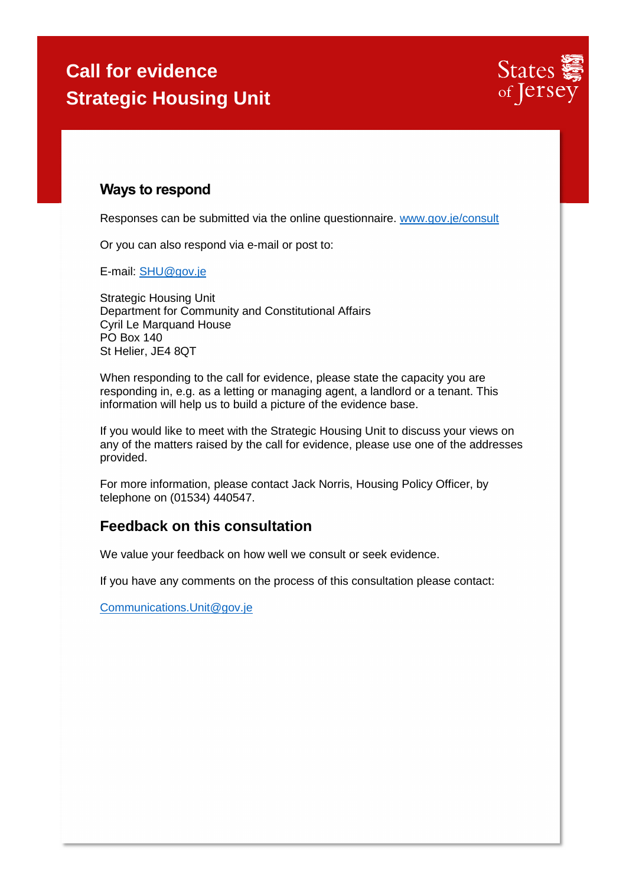

### **Ways to respond**

Responses can be submitted via the online questionnaire. www.gov.je/consult

Or you can also respond via e-mail or post to:

E-mail: SHU@gov.je

Strategic Housing Unit Department for Community and Constitutional Affairs Cyril Le Marquand House PO Box 140 St Helier, JE4 8QT

When responding to the call for evidence, please state the capacity you are responding in, e.g. as a letting or managing agent, a landlord or a tenant. This information will help us to build a picture of the evidence base.

If you would like to meet with the Strategic Housing Unit to discuss your views on any of the matters raised by the call for evidence, please use one of the addresses provided.

For more information, please contact Jack Norris, Housing Policy Officer, by telephone on (01534) 440547.

### **Feedback on this consultation**

We value your feedback on how well we consult or seek evidence.

If you have any comments on the process of this consultation please contact:

Communications.Unit@gov.je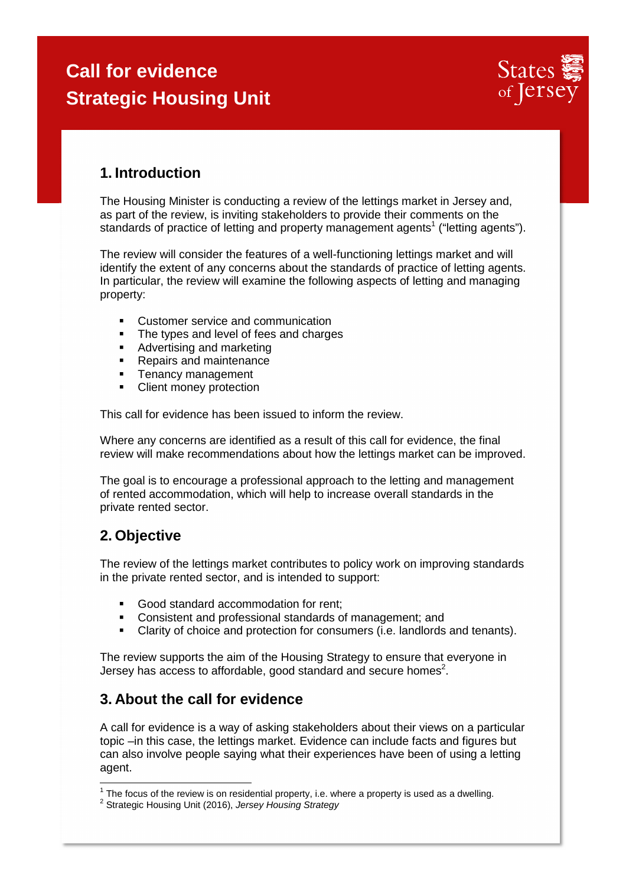

### **1. Introduction**

The Housing Minister is conducting a review of the lettings market in Jersey and, as part of the review, is inviting stakeholders to provide their comments on the standards of practice of letting and property management agents<sup>1</sup> ("letting agents").

The review will consider the features of a well-functioning lettings market and will identify the extent of any concerns about the standards of practice of letting agents. In particular, the review will examine the following aspects of letting and managing property:

- Customer service and communication
- The types and level of fees and charges
- **Advertising and marketing**
- Repairs and maintenance
- **Tenancy management**
- Client money protection

This call for evidence has been issued to inform the review.

Where any concerns are identified as a result of this call for evidence, the final review will make recommendations about how the lettings market can be improved.

The goal is to encourage a professional approach to the letting and management of rented accommodation, which will help to increase overall standards in the private rented sector.

### **2. Objective**

The review of the lettings market contributes to policy work on improving standards in the private rented sector, and is intended to support:

- Good standard accommodation for rent;
- Consistent and professional standards of management; and
- Clarity of choice and protection for consumers (i.e. landlords and tenants).

The review supports the aim of the Housing Strategy to ensure that everyone in Jersey has access to affordable, good standard and secure homes<sup>2</sup>.

#### **3. About the call for evidence**

A call for evidence is a way of asking stakeholders about their views on a particular topic –in this case, the lettings market. Evidence can include facts and figures but can also involve people saying what their experiences have been of using a letting agent.

 $1$  The focus of the review is on residential property, i.e. where a property is used as a dwelling.

<sup>&</sup>lt;sup>2</sup> Strategic Housing Unit (2016), Jersey Housing Strategy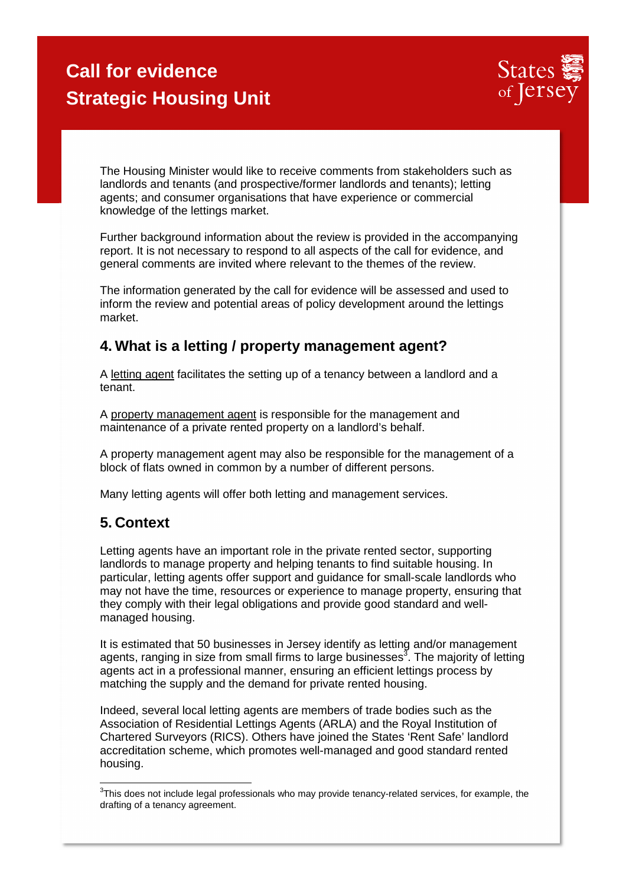

The Housing Minister would like to receive comments from stakeholders such as landlords and tenants (and prospective/former landlords and tenants); letting agents; and consumer organisations that have experience or commercial knowledge of the lettings market.

Further background information about the review is provided in the accompanying report. It is not necessary to respond to all aspects of the call for evidence, and general comments are invited where relevant to the themes of the review.

The information generated by the call for evidence will be assessed and used to inform the review and potential areas of policy development around the lettings market.

### **4. What is a letting / property management agent?**

A letting agent facilitates the setting up of a tenancy between a landlord and a tenant.

A property management agent is responsible for the management and maintenance of a private rented property on a landlord's behalf.

A property management agent may also be responsible for the management of a block of flats owned in common by a number of different persons.

Many letting agents will offer both letting and management services.

#### **5. Context**

Letting agents have an important role in the private rented sector, supporting landlords to manage property and helping tenants to find suitable housing. In particular, letting agents offer support and guidance for small-scale landlords who may not have the time, resources or experience to manage property, ensuring that they comply with their legal obligations and provide good standard and wellmanaged housing.

It is estimated that 50 businesses in Jersey identify as letting and/or management agents, ranging in size from small firms to large businesses $^3$ . The majority of letting agents act in a professional manner, ensuring an efficient lettings process by matching the supply and the demand for private rented housing.

Indeed, several local letting agents are members of trade bodies such as the Association of Residential Lettings Agents (ARLA) and the Royal Institution of Chartered Surveyors (RICS). Others have joined the States 'Rent Safe' landlord accreditation scheme, which promotes well-managed and good standard rented housing.

**EXECUTE:**<br><sup>3</sup>This does not include legal professionals who may provide tenancy-related services, for example, the drafting of a tenancy agreement.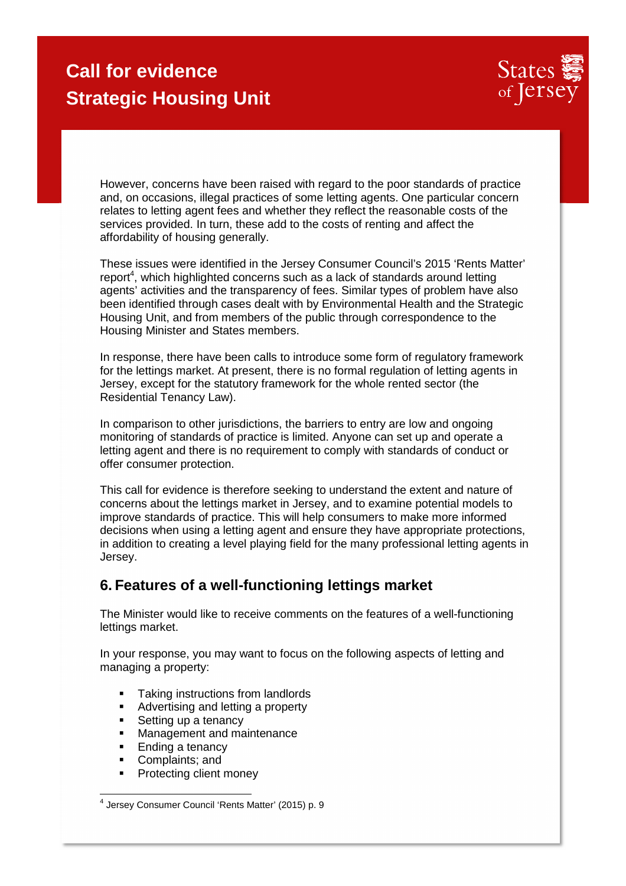

However, concerns have been raised with regard to the poor standards of practice and, on occasions, illegal practices of some letting agents. One particular concern relates to letting agent fees and whether they reflect the reasonable costs of the services provided. In turn, these add to the costs of renting and affect the affordability of housing generally.

These issues were identified in the Jersey Consumer Council's 2015 'Rents Matter'  $report<sup>4</sup>$ , which highlighted concerns such as a lack of standards around letting agents' activities and the transparency of fees. Similar types of problem have also been identified through cases dealt with by Environmental Health and the Strategic Housing Unit, and from members of the public through correspondence to the Housing Minister and States members.

In response, there have been calls to introduce some form of regulatory framework for the lettings market. At present, there is no formal regulation of letting agents in Jersey, except for the statutory framework for the whole rented sector (the Residential Tenancy Law).

In comparison to other jurisdictions, the barriers to entry are low and ongoing monitoring of standards of practice is limited. Anyone can set up and operate a letting agent and there is no requirement to comply with standards of conduct or offer consumer protection.

This call for evidence is therefore seeking to understand the extent and nature of concerns about the lettings market in Jersey, and to examine potential models to improve standards of practice. This will help consumers to make more informed decisions when using a letting agent and ensure they have appropriate protections, in addition to creating a level playing field for the many professional letting agents in Jersey.

#### **6. Features of a well-functioning lettings market**

The Minister would like to receive comments on the features of a well-functioning lettings market.

In your response, you may want to focus on the following aspects of letting and managing a property:

- **Taking instructions from landlords**
- **Advertising and letting a property**
- Setting up a tenancy
- **Management and maintenance**
- Ending a tenancy
- Complaints; and
- Protecting client money

 4 Jersey Consumer Council 'Rents Matter' (2015) p. 9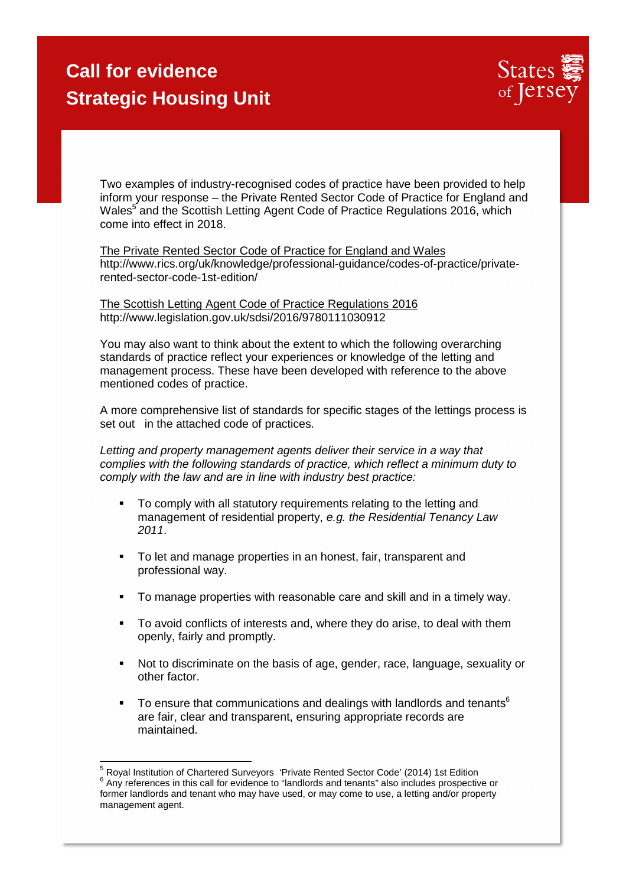

Two examples of industry-recognised codes of practice have been provided to help inform your response – the Private Rented Sector Code of Practice for England and Wales<sup>5</sup> and the Scottish Letting Agent Code of Practice Regulations 2016, which come into effect in 2018.

The Private Rented Sector Code of Practice for England and Wales http://www.rics.org/uk/knowledge/professional-guidance/codes-of-practice/privaterented-sector-code-1st-edition/

The Scottish Letting Agent Code of Practice Regulations 2016 http://www.legislation.gov.uk/sdsi/2016/9780111030912

You may also want to think about the extent to which the following overarching standards of practice reflect your experiences or knowledge of the letting and management process. These have been developed with reference to the above mentioned codes of practice.

A more comprehensive list of standards for specific stages of the lettings process is set out in the attached code of practices.

Letting and property management agents deliver their service in a way that complies with the following standards of practice, which reflect a minimum duty to comply with the law and are in line with industry best practice:

- To comply with all statutory requirements relating to the letting and management of residential property, e.g. the Residential Tenancy Law 2011.
- To let and manage properties in an honest, fair, transparent and professional way.
- To manage properties with reasonable care and skill and in a timely way.
- To avoid conflicts of interests and, where they do arise, to deal with them openly, fairly and promptly.
- Not to discriminate on the basis of age, gender, race, language, sexuality or other factor.
- To ensure that communications and dealings with landlords and tenants<sup>6</sup> are fair, clear and transparent, ensuring appropriate records are maintained.

 <sup>5</sup> Royal Institution of Chartered Surveyors 'Private Rented Sector Code' (2014) 1st Edition  $6$  Any references in this call for evidence to "landlords and tenants" also includes prospective or former landlords and tenant who may have used, or may come to use, a letting and/or property management agent.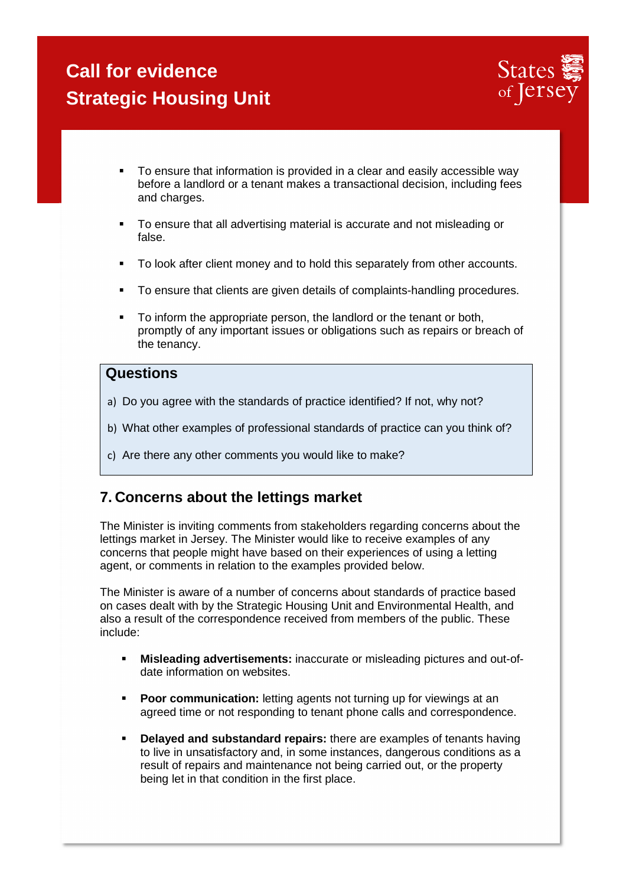

- To ensure that information is provided in a clear and easily accessible way before a landlord or a tenant makes a transactional decision, including fees and charges.
- To ensure that all advertising material is accurate and not misleading or false.
- To look after client money and to hold this separately from other accounts.
- **To ensure that clients are given details of complaints-handling procedures.**
- To inform the appropriate person, the landlord or the tenant or both, promptly of any important issues or obligations such as repairs or breach of the tenancy.

#### **Questions**

- a) Do you agree with the standards of practice identified? If not, why not?
- b) What other examples of professional standards of practice can you think of?
- c) Are there any other comments you would like to make?

### **7. Concerns about the lettings market**

The Minister is inviting comments from stakeholders regarding concerns about the lettings market in Jersey. The Minister would like to receive examples of any concerns that people might have based on their experiences of using a letting agent, or comments in relation to the examples provided below.

The Minister is aware of a number of concerns about standards of practice based on cases dealt with by the Strategic Housing Unit and Environmental Health, and also a result of the correspondence received from members of the public. These include:

- **Misleading advertisements:** inaccurate or misleading pictures and out-ofdate information on websites.
- **Poor communication:** letting agents not turning up for viewings at an agreed time or not responding to tenant phone calls and correspondence.
- **Delayed and substandard repairs:** there are examples of tenants having to live in unsatisfactory and, in some instances, dangerous conditions as a result of repairs and maintenance not being carried out, or the property being let in that condition in the first place.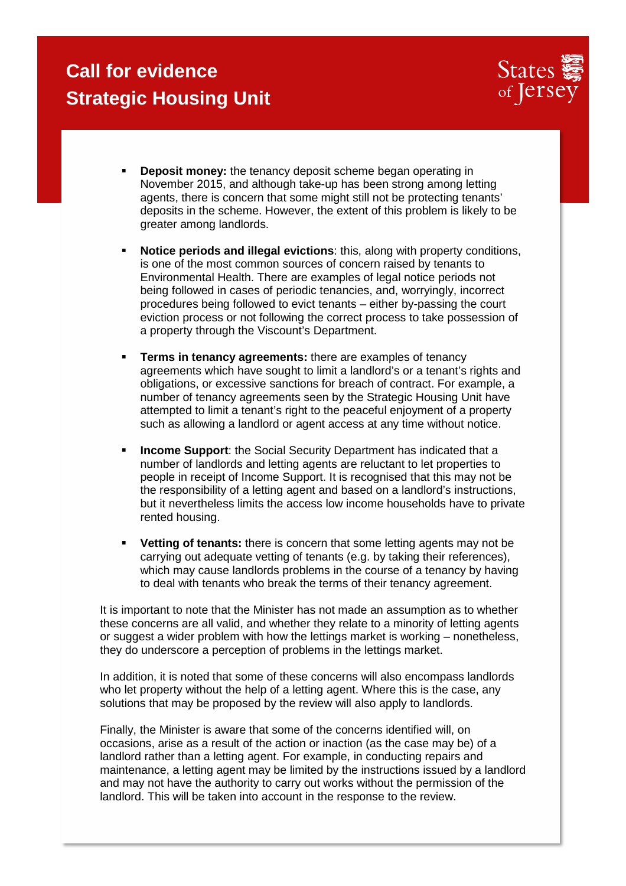

- **Deposit money:** the tenancy deposit scheme began operating in November 2015, and although take-up has been strong among letting agents, there is concern that some might still not be protecting tenants' deposits in the scheme. However, the extent of this problem is likely to be greater among landlords.
- **Notice periods and illegal evictions**: this, along with property conditions, is one of the most common sources of concern raised by tenants to Environmental Health. There are examples of legal notice periods not being followed in cases of periodic tenancies, and, worryingly, incorrect procedures being followed to evict tenants – either by-passing the court eviction process or not following the correct process to take possession of a property through the Viscount's Department.
- **Terms in tenancy agreements:** there are examples of tenancy agreements which have sought to limit a landlord's or a tenant's rights and obligations, or excessive sanctions for breach of contract. For example, a number of tenancy agreements seen by the Strategic Housing Unit have attempted to limit a tenant's right to the peaceful enjoyment of a property such as allowing a landlord or agent access at any time without notice.
- **Income Support:** the Social Security Department has indicated that a number of landlords and letting agents are reluctant to let properties to people in receipt of Income Support. It is recognised that this may not be the responsibility of a letting agent and based on a landlord's instructions, but it nevertheless limits the access low income households have to private rented housing.
- **Vetting of tenants:** there is concern that some letting agents may not be carrying out adequate vetting of tenants (e.g. by taking their references), which may cause landlords problems in the course of a tenancy by having to deal with tenants who break the terms of their tenancy agreement.

It is important to note that the Minister has not made an assumption as to whether these concerns are all valid, and whether they relate to a minority of letting agents or suggest a wider problem with how the lettings market is working – nonetheless, they do underscore a perception of problems in the lettings market.

In addition, it is noted that some of these concerns will also encompass landlords who let property without the help of a letting agent. Where this is the case, any solutions that may be proposed by the review will also apply to landlords.

Finally, the Minister is aware that some of the concerns identified will, on occasions, arise as a result of the action or inaction (as the case may be) of a landlord rather than a letting agent. For example, in conducting repairs and maintenance, a letting agent may be limited by the instructions issued by a landlord and may not have the authority to carry out works without the permission of the landlord. This will be taken into account in the response to the review.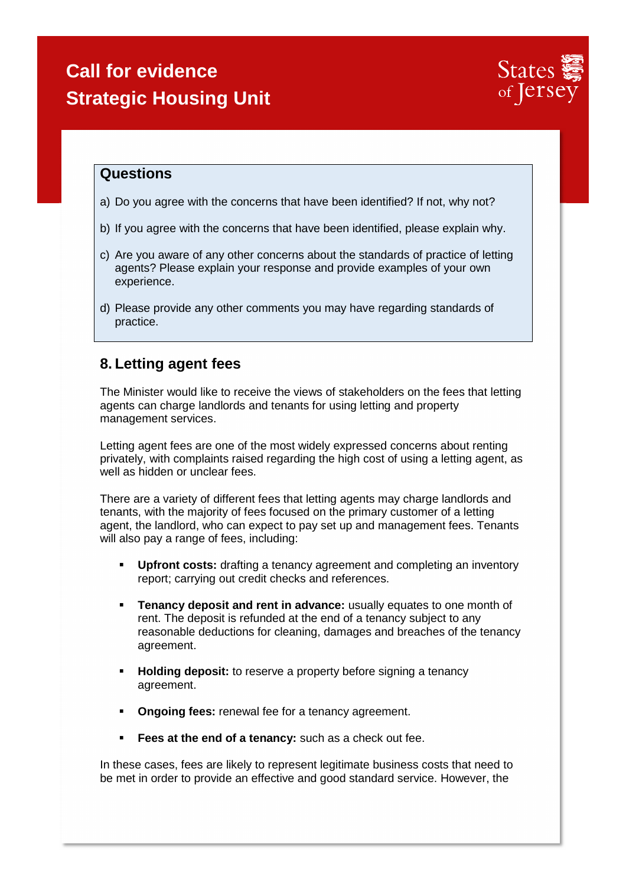

#### **Questions**

- a) Do you agree with the concerns that have been identified? If not, why not?
- b) If you agree with the concerns that have been identified, please explain why.
- c) Are you aware of any other concerns about the standards of practice of letting agents? Please explain your response and provide examples of your own experience.
- d) Please provide any other comments you may have regarding standards of practice.

#### **8. Letting agent fees**

The Minister would like to receive the views of stakeholders on the fees that letting agents can charge landlords and tenants for using letting and property management services.

Letting agent fees are one of the most widely expressed concerns about renting privately, with complaints raised regarding the high cost of using a letting agent, as well as hidden or unclear fees.

There are a variety of different fees that letting agents may charge landlords and tenants, with the majority of fees focused on the primary customer of a letting agent, the landlord, who can expect to pay set up and management fees. Tenants will also pay a range of fees, including:

- **Upfront costs:** drafting a tenancy agreement and completing an inventory report; carrying out credit checks and references.
- **Tenancy deposit and rent in advance:** usually equates to one month of rent. The deposit is refunded at the end of a tenancy subject to any reasonable deductions for cleaning, damages and breaches of the tenancy agreement.
- **Holding deposit:** to reserve a property before signing a tenancy agreement.
- **Ongoing fees:** renewal fee for a tenancy agreement.
- **Fees at the end of a tenancy:** such as a check out fee.

In these cases, fees are likely to represent legitimate business costs that need to be met in order to provide an effective and good standard service. However, the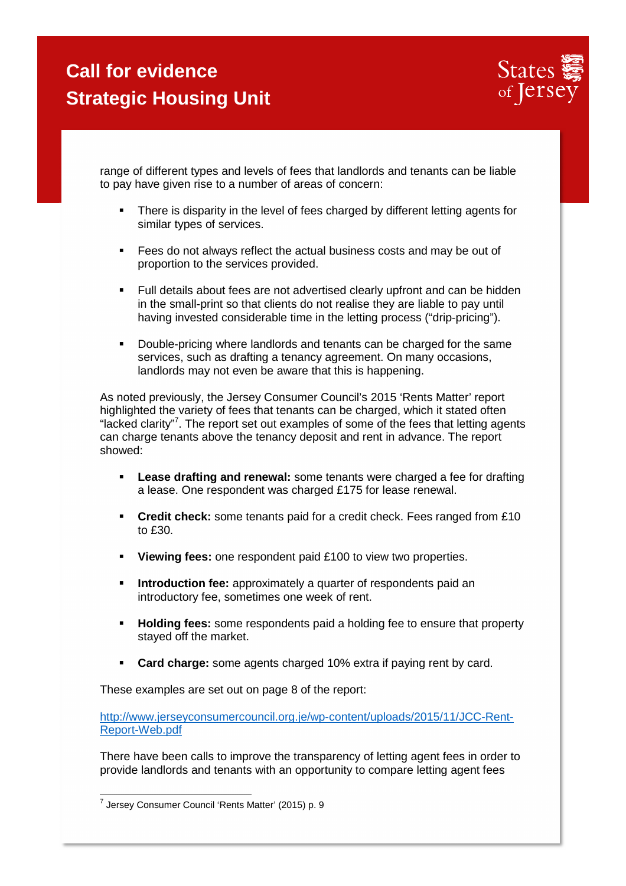

range of different types and levels of fees that landlords and tenants can be liable to pay have given rise to a number of areas of concern:

- There is disparity in the level of fees charged by different letting agents for similar types of services.
- Fees do not always reflect the actual business costs and may be out of proportion to the services provided.
- Full details about fees are not advertised clearly upfront and can be hidden in the small-print so that clients do not realise they are liable to pay until having invested considerable time in the letting process ("drip-pricing").
- Double-pricing where landlords and tenants can be charged for the same services, such as drafting a tenancy agreement. On many occasions, landlords may not even be aware that this is happening.

As noted previously, the Jersey Consumer Council's 2015 'Rents Matter' report highlighted the variety of fees that tenants can be charged, which it stated often "lacked clarity"<sup>7</sup>. The report set out examples of some of the fees that letting agents can charge tenants above the tenancy deposit and rent in advance. The report showed:

- **Lease drafting and renewal:** some tenants were charged a fee for drafting a lease. One respondent was charged £175 for lease renewal.
- **Credit check:** some tenants paid for a credit check. Fees ranged from £10 to £30.
- **Viewing fees:** one respondent paid £100 to view two properties.
- **Introduction fee:** approximately a quarter of respondents paid an introductory fee, sometimes one week of rent.
- **Holding fees:** some respondents paid a holding fee to ensure that property stayed off the market.
- **Card charge:** some agents charged 10% extra if paying rent by card.

These examples are set out on page 8 of the report:

http://www.jerseyconsumercouncil.org.je/wp-content/uploads/2015/11/JCC-Rent-Report-Web.pdf

There have been calls to improve the transparency of letting agent fees in order to provide landlords and tenants with an opportunity to compare letting agent fees

 7 Jersey Consumer Council 'Rents Matter' (2015) p. 9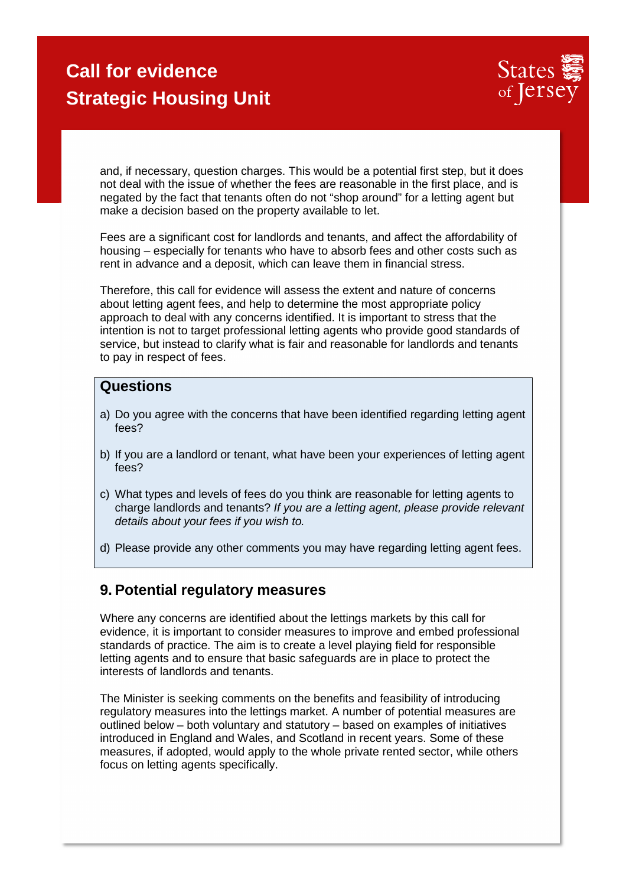

and, if necessary, question charges. This would be a potential first step, but it does not deal with the issue of whether the fees are reasonable in the first place, and is negated by the fact that tenants often do not "shop around" for a letting agent but make a decision based on the property available to let.

Fees are a significant cost for landlords and tenants, and affect the affordability of housing – especially for tenants who have to absorb fees and other costs such as rent in advance and a deposit, which can leave them in financial stress.

Therefore, this call for evidence will assess the extent and nature of concerns about letting agent fees, and help to determine the most appropriate policy approach to deal with any concerns identified. It is important to stress that the intention is not to target professional letting agents who provide good standards of service, but instead to clarify what is fair and reasonable for landlords and tenants to pay in respect of fees.

#### **Questions**

- a) Do you agree with the concerns that have been identified regarding letting agent fees?
- b) If you are a landlord or tenant, what have been your experiences of letting agent fees?
- c) What types and levels of fees do you think are reasonable for letting agents to charge landlords and tenants? If you are a letting agent, please provide relevant details about your fees if you wish to.
- d) Please provide any other comments you may have regarding letting agent fees.

#### **9. Potential regulatory measures**

Where any concerns are identified about the lettings markets by this call for evidence, it is important to consider measures to improve and embed professional standards of practice. The aim is to create a level playing field for responsible letting agents and to ensure that basic safeguards are in place to protect the interests of landlords and tenants.

The Minister is seeking comments on the benefits and feasibility of introducing regulatory measures into the lettings market. A number of potential measures are outlined below – both voluntary and statutory – based on examples of initiatives introduced in England and Wales, and Scotland in recent years. Some of these measures, if adopted, would apply to the whole private rented sector, while others focus on letting agents specifically.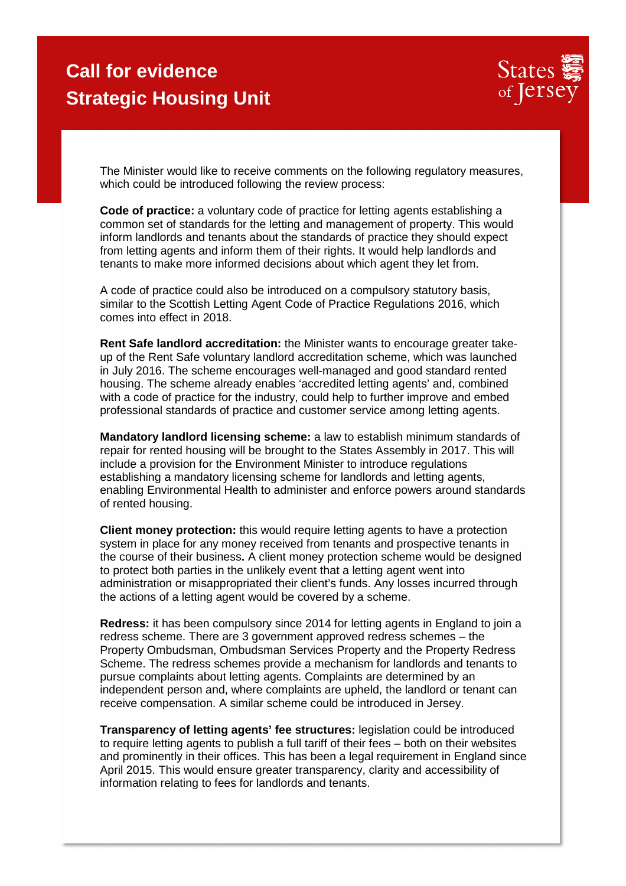

The Minister would like to receive comments on the following regulatory measures, which could be introduced following the review process:

**Code of practice:** a voluntary code of practice for letting agents establishing a common set of standards for the letting and management of property. This would inform landlords and tenants about the standards of practice they should expect from letting agents and inform them of their rights. It would help landlords and tenants to make more informed decisions about which agent they let from.

A code of practice could also be introduced on a compulsory statutory basis, similar to the Scottish Letting Agent Code of Practice Regulations 2016, which comes into effect in 2018.

**Rent Safe landlord accreditation:** the Minister wants to encourage greater takeup of the Rent Safe voluntary landlord accreditation scheme, which was launched in July 2016. The scheme encourages well-managed and good standard rented housing. The scheme already enables 'accredited letting agents' and, combined with a code of practice for the industry, could help to further improve and embed professional standards of practice and customer service among letting agents.

**Mandatory landlord licensing scheme:** a law to establish minimum standards of repair for rented housing will be brought to the States Assembly in 2017. This will include a provision for the Environment Minister to introduce regulations establishing a mandatory licensing scheme for landlords and letting agents, enabling Environmental Health to administer and enforce powers around standards of rented housing.

**Client money protection:** this would require letting agents to have a protection system in place for any money received from tenants and prospective tenants in the course of their business**.** A client money protection scheme would be designed to protect both parties in the unlikely event that a letting agent went into administration or misappropriated their client's funds. Any losses incurred through the actions of a letting agent would be covered by a scheme.

**Redress:** it has been compulsory since 2014 for letting agents in England to join a redress scheme. There are 3 government approved redress schemes – the Property Ombudsman, Ombudsman Services Property and the Property Redress Scheme. The redress schemes provide a mechanism for landlords and tenants to pursue complaints about letting agents. Complaints are determined by an independent person and, where complaints are upheld, the landlord or tenant can receive compensation. A similar scheme could be introduced in Jersey.

**Transparency of letting agents' fee structures:** legislation could be introduced to require letting agents to publish a full tariff of their fees – both on their websites and prominently in their offices. This has been a legal requirement in England since April 2015. This would ensure greater transparency, clarity and accessibility of information relating to fees for landlords and tenants.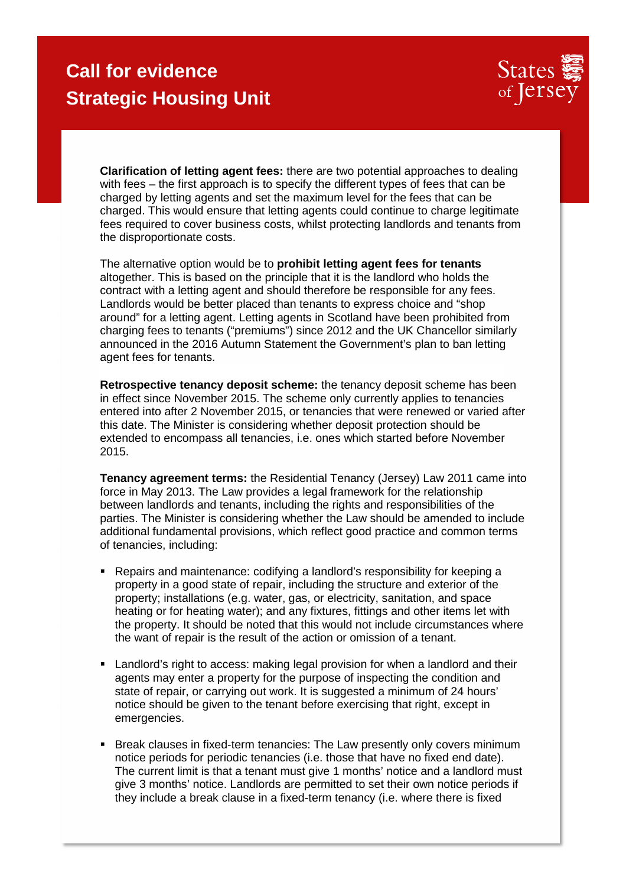

**Clarification of letting agent fees:** there are two potential approaches to dealing with fees – the first approach is to specify the different types of fees that can be charged by letting agents and set the maximum level for the fees that can be charged. This would ensure that letting agents could continue to charge legitimate fees required to cover business costs, whilst protecting landlords and tenants from the disproportionate costs.

The alternative option would be to **prohibit letting agent fees for tenants**  altogether. This is based on the principle that it is the landlord who holds the contract with a letting agent and should therefore be responsible for any fees. Landlords would be better placed than tenants to express choice and "shop around" for a letting agent. Letting agents in Scotland have been prohibited from charging fees to tenants ("premiums") since 2012 and the UK Chancellor similarly announced in the 2016 Autumn Statement the Government's plan to ban letting agent fees for tenants.

**Retrospective tenancy deposit scheme:** the tenancy deposit scheme has been in effect since November 2015. The scheme only currently applies to tenancies entered into after 2 November 2015, or tenancies that were renewed or varied after this date. The Minister is considering whether deposit protection should be extended to encompass all tenancies, i.e. ones which started before November 2015.

**Tenancy agreement terms:** the Residential Tenancy (Jersey) Law 2011 came into force in May 2013. The Law provides a legal framework for the relationship between landlords and tenants, including the rights and responsibilities of the parties. The Minister is considering whether the Law should be amended to include additional fundamental provisions, which reflect good practice and common terms of tenancies, including:

- Repairs and maintenance: codifying a landlord's responsibility for keeping a property in a good state of repair, including the structure and exterior of the property; installations (e.g. water, gas, or electricity, sanitation, and space heating or for heating water); and any fixtures, fittings and other items let with the property. It should be noted that this would not include circumstances where the want of repair is the result of the action or omission of a tenant.
- Landlord's right to access: making legal provision for when a landlord and their agents may enter a property for the purpose of inspecting the condition and state of repair, or carrying out work. It is suggested a minimum of 24 hours' notice should be given to the tenant before exercising that right, except in emergencies.
- Break clauses in fixed-term tenancies: The Law presently only covers minimum notice periods for periodic tenancies (i.e. those that have no fixed end date). The current limit is that a tenant must give 1 months' notice and a landlord must give 3 months' notice. Landlords are permitted to set their own notice periods if they include a break clause in a fixed-term tenancy (i.e. where there is fixed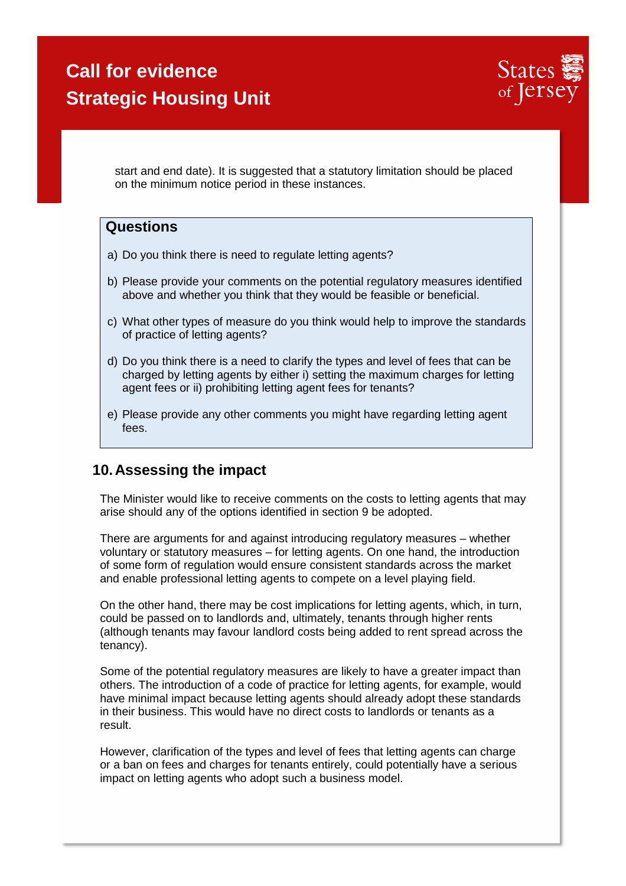

start and end date). It is suggested that a statutory limitation should be placed on the minimum notice period in these instances.

#### **Questions**

- a) Do you think there is need to regulate letting agents?
- b) Please provide your comments on the potential regulatory measures identified above and whether you think that they would be feasible or beneficial.
- c) What other types of measure do you think would help to improve the standards of practice of letting agents?
- d) Do you think there is a need to clarify the types and level of fees that can be charged by letting agents by either i) setting the maximum charges for letting agent fees or ii) prohibiting letting agent fees for tenants?
- e) Please provide any other comments you might have regarding letting agent fees.

#### **10. Assessing the impact**

The Minister would like to receive comments on the costs to letting agents that may arise should any of the options identified in section 9 be adopted.

There are arguments for and against introducing regulatory measures – whether voluntary or statutory measures – for letting agents. On one hand, the introduction of some form of regulation would ensure consistent standards across the market and enable professional letting agents to compete on a level playing field.

On the other hand, there may be cost implications for letting agents, which, in turn, could be passed on to landlords and, ultimately, tenants through higher rents (although tenants may favour landlord costs being added to rent spread across the tenancy).

Some of the potential regulatory measures are likely to have a greater impact than others. The introduction of a code of practice for letting agents, for example, would have minimal impact because letting agents should already adopt these standards in their business. This would have no direct costs to landlords or tenants as a result.

However, clarification of the types and level of fees that letting agents can charge or a ban on fees and charges for tenants entirely, could potentially have a serious impact on letting agents who adopt such a business model.